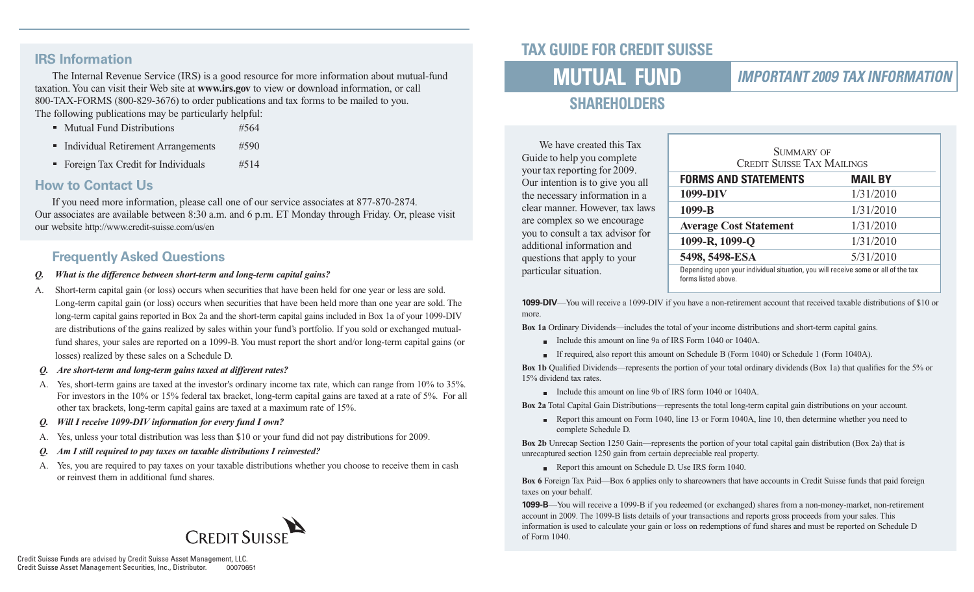#### **IRS Information**

The Internal Revenue Service (IRS) is a good resource for more information about mutual-fund taxation. You can visit their Web site at **www.irs.gov** to view or download information, or call 800-TAX-FORMS (800-829-3676) to order publications and tax forms to be mailed to you. The following publications may be particularly helpful:

- Mutual Fund Distributions #564
- Individual Retirement Arrangements #590
- Foreign Tax Credit for Individuals #514

#### **How to Contact Us**

If you need more information, please call one of our service associates at 877-870-2874. Our associates are available between 8:30 a.m. and 6 p.m. ET Monday through Friday. Or, please visit our website http://www.credit-suisse.com/us/en

#### **Frequently Asked Questions**

- *Q. What is the difference between short-term and long-term capital gains?*
- A. Short-term capital gain (or loss) occurs when securities that have been held for one year or less are sold. Long-term capital gain (or loss) occurs when securities that have been held more than one year are sold. The long-term capital gains reported in Box 2a and the short-term capital gains included in Box 1a of your 1099-DIV are distributions of the gains realized by sales within your fund's portfolio. If you sold or exchanged mutualfund shares, your sales are reported on a 1099-B. You must report the short and/or long-term capital gains (or losses) realized by these sales on a Schedule D.
- *Q. Are short-term and long-term gains taxed at different rates?*
- A. Yes, short-term gains are taxed at the investor's ordinary income tax rate, which can range from 10% to 35%. For investors in the 10% or 15% federal tax bracket, long-term capital gains are taxed at a rate of 5%. For all other tax brackets, long-term capital gains are taxed at a maximum rate of 15%.
- *Q. Will I receive 1099-DIV information for every fund I own?*
- A. Yes, unless your total distribution was less than \$10 or your fund did not pay distributions for 2009.
- *Am I still required to pay taxes on taxable distributions I reinvested?*
- A. Yes, you are required to pay taxes on your taxable distributions whether you choose to receive them in cash or reinvest them in additional fund shares.



# **TAX GUIDE FOR CREDIT SUISSE**

# **MUTUAL FUND**

### **IMPORTANT 2009 TAX INFORMATION**

# **SHAREHOLDERS**

We have created this Tax Guide to help you complete your tax reporting for 2009. Our intention is to give you all the necessary information in a clear manner. However, tax laws are complex so we encourage you to consult a tax advisor for additional information and questions that apply to your particular situation.

| SUMMARY OF<br><b>CREDIT SUISSE TAX MAILINGS</b>                                                          |                |  |  |
|----------------------------------------------------------------------------------------------------------|----------------|--|--|
| <b>FORMS AND STATEMENTS</b>                                                                              | <b>MAIL BY</b> |  |  |
| 1099-DIV                                                                                                 | 1/31/2010      |  |  |
| 1099-B                                                                                                   | 1/31/2010      |  |  |
| <b>Average Cost Statement</b>                                                                            | 1/31/2010      |  |  |
| 1099-R, 1099-Q                                                                                           | 1/31/2010      |  |  |
| 5498, 5498-ESA                                                                                           | 5/31/2010      |  |  |
| Depending upon your individual situation, you will receive some or all of the tax<br>forms listed above. |                |  |  |

**1099-DIV**—You will receive a 1099-DIV if you have a non-retirement account that received taxable distributions of \$10 or more.

**Box 1a** Ordinary Dividends—includes the total of your income distributions and short-term capital gains.

- Include this amount on line 9a of IRS Form 1040 or 1040A.
- If required, also report this amount on Schedule B (Form 1040) or Schedule 1 (Form 1040A).

**Box 1b** Qualified Dividends—represents the portion of your total ordinary dividends (Box 1a) that qualifies for the 5% or 15% dividend tax rates.

Include this amount on line 9b of IRS form 1040 or 1040A.

**Box 2a** Total Capital Gain Distributions—represents the total long-term capital gain distributions on your account.

Report this amount on Form 1040, line 13 or Form 1040A, line 10, then determine whether you need to complete Schedule D.

**Box 2b** Unrecap Section 1250 Gain—represents the portion of your total capital gain distribution (Box 2a) that is unrecaptured section 1250 gain from certain depreciable real property.

Report this amount on Schedule D. Use IRS form 1040.

**Box 6** Foreign Tax Paid—Box 6 applies only to shareowners that have accounts in Credit Suisse funds that paid foreign taxes on your behalf.

**1099-B**—You will receive a 1099-B if you redeemed (or exchanged) shares from a non-money-market, non-retirement account in 2009. The 1099-B lists details of your transactions and reports gross proceeds from your sales. This information is used to calculate your gain or loss on redemptions of fund shares and must be reported on Schedule D of Form 1040.

Credit Suisse Funds are advised by Credit Suisse Asset Management, LLC. Credit Suisse Asset Management Securities, Inc., Distributor. 00070651